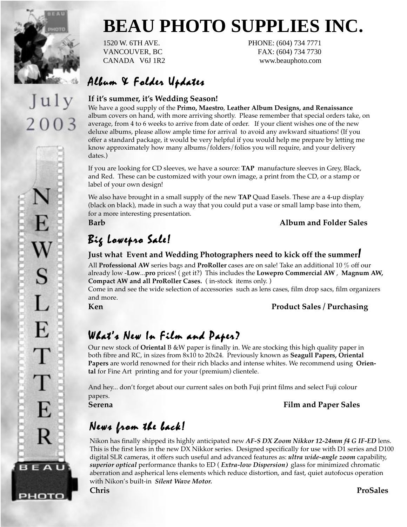

July

2003

# **BEAU PHOTO SUPPLIES INC.**

1520 W. 6TH AVE. PHONE: (604) 734 7771 VANCOUVER, BC FAX: (604) 734 7730 CANADA V6J 1R2 www.beauphoto.com

### $Album$  & Folder Updates

#### **If it's summer, it's Wedding Season!**

We have a good supply of the **Primo, Maestro**, **Leather Album Designs, and Renaissance** album covers on hand, with more arriving shortly. Please remember that special orders take, on average, from 4 to 6 weeks to arrive from date of order. If your client wishes one of the new deluxe albums, please allow ample time for arrival to avoid any awkward situations! (If you offer a standard package, it would be very helpful if you would help me prepare by letting me know approximately how many albums/folders/folios you will require, and your delivery dates.)

If you are looking for CD sleeves, we have a source: **TAP** manufacture sleeves in Grey, Black, and Red. These can be customized with your own image, a print from the CD, or a stamp or label of your own design!

We also have brought in a small supply of the new **TAP** Quad Easels. These are a 4-up display (black on black), made in such a way that you could put a vase or small lamp base into them, for a more interesting presentation.

#### **Barb Album and Folder Sales**

### Big Lowefro Sale!

#### **Just what Event and Wedding Photographers need to kick off the summer**!

All **Professional AW** series bags and **ProRoller** cases are on sale! Take an additional 10 % off our already low -**Low**...**pro** prices! ( get it?) This includes the **Lowepro Commercial AW** , **Magnum AW, Compact AW and all ProRoller Cases.** ( in-stock items only. )

Come in and see the wide selection of accessories such as lens cases, film drop sacs, film organizers and more.

#### Ken **Product Sales / Purchasing**

### What's New In Film and Paper?

Our new stock of **Oriental** B &W paper is finally in. We are stocking this high quality paper in both fibre and RC, in sizes from 8x10 to 20x24. Previously known as **Seagull Papers, Oriental Papers** are world renowned for their rich blacks and intense whites. We recommend using **Oriental** for Fine Art printing and for your (premium) clientele.

And hey... don't forget about our current sales on both Fuji print films and select Fuji colour papers.

**Serena Film and Paper Sales**

### News from the back!

Nikon has finally shipped its highly anticipated new *AF-S DX Zoom Nikkor 12-24mm f4 G IF-ED* lens. This is the first lens in the new DX Nikkor series. Designed specifically for use with D1 series and D100 digital SLR cameras, it offers such useful and advanced features as: *ultra wide-angle zoom* capability, *superior optical* performance thanks to ED ( *Extra-low Dispersion)* glass for minimized chromatic aberration and aspherical lens elements which reduce distortion, and fast, quiet autofocus operation with Nikon's built-in *Silent Wave Motor.*

**Chris ProSales**

рното